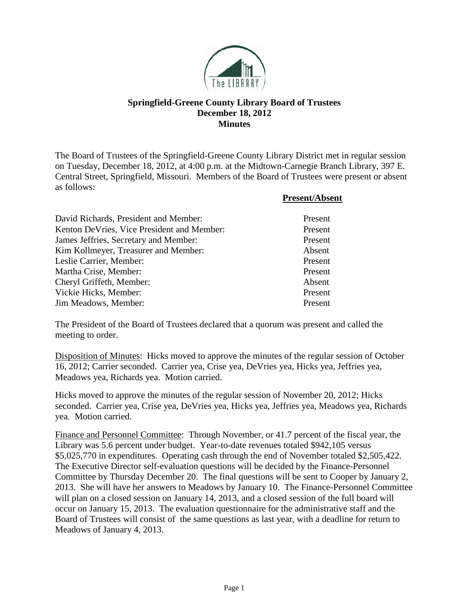

## **Springfield-Greene County Library Board of Trustees December 18, 2012 Minutes**

The Board of Trustees of the Springfield-Greene County Library District met in regular session on Tuesday, December 18, 2012, at 4:00 p.m. at the Midtown-Carnegie Branch Library, 397 E. Central Street, Springfield, Missouri. Members of the Board of Trustees were present or absent as follows:

**Present/Absent**

| David Richards, President and Member:      | Present |
|--------------------------------------------|---------|
| Kenton DeVries, Vice President and Member: | Present |
| James Jeffries, Secretary and Member:      | Present |
| Kim Kollmeyer, Treasurer and Member:       | Absent  |
| Leslie Carrier, Member:                    | Present |
| Martha Crise, Member:                      | Present |
| Cheryl Griffeth, Member:                   | Absent  |
| Vickie Hicks, Member:                      | Present |
| Jim Meadows, Member:                       | Present |

The President of the Board of Trustees declared that a quorum was present and called the meeting to order.

Disposition of Minutes: Hicks moved to approve the minutes of the regular session of October 16, 2012; Carrier seconded. Carrier yea, Crise yea, DeVries yea, Hicks yea, Jeffries yea, Meadows yea, Richards yea. Motion carried.

Hicks moved to approve the minutes of the regular session of November 20, 2012; Hicks seconded. Carrier yea, Crise yea, DeVries yea, Hicks yea, Jeffries yea, Meadows yea, Richards yea. Motion carried.

Finance and Personnel Committee: Through November, or 41.7 percent of the fiscal year, the Library was 5.6 percent under budget. Year-to-date revenues totaled \$942,105 versus \$5,025,770 in expenditures. Operating cash through the end of November totaled \$2,505,422. The Executive Director self-evaluation questions will be decided by the Finance-Personnel Committee by Thursday December 20. The final questions will be sent to Cooper by January 2, 2013. She will have her answers to Meadows by January 10. The Finance-Personnel Committee will plan on a closed session on January 14, 2013, and a closed session of the full board will occur on January 15, 2013. The evaluation questionnaire for the administrative staff and the Board of Trustees will consist of the same questions as last year, with a deadline for return to Meadows of January 4, 2013.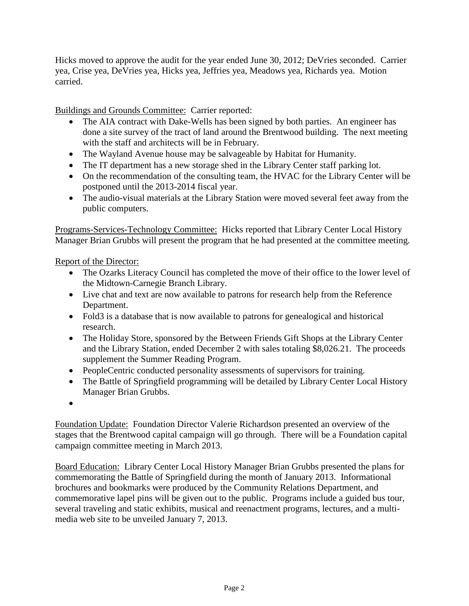Hicks moved to approve the audit for the year ended June 30, 2012; DeVries seconded. Carrier yea, Crise yea, DeVries yea, Hicks yea, Jeffries yea, Meadows yea, Richards yea. Motion carried.

Buildings and Grounds Committee: Carrier reported:

- The AIA contract with Dake-Wells has been signed by both parties. An engineer has done a site survey of the tract of land around the Brentwood building. The next meeting with the staff and architects will be in February.
- The Wayland Avenue house may be salvageable by Habitat for Humanity.
- The IT department has a new storage shed in the Library Center staff parking lot.
- On the recommendation of the consulting team, the HVAC for the Library Center will be postponed until the 2013-2014 fiscal year.
- The audio-visual materials at the Library Station were moved several feet away from the public computers.

Programs-Services-Technology Committee: Hicks reported that Library Center Local History Manager Brian Grubbs will present the program that he had presented at the committee meeting.

Report of the Director:

- The Ozarks Literacy Council has completed the move of their office to the lower level of the Midtown-Carnegie Branch Library.
- Live chat and text are now available to patrons for research help from the Reference Department.
- Fold3 is a database that is now available to patrons for genealogical and historical research.
- The Holiday Store, sponsored by the Between Friends Gift Shops at the Library Center and the Library Station, ended December 2 with sales totaling \$8,026.21. The proceeds supplement the Summer Reading Program.
- PeopleCentric conducted personality assessments of supervisors for training.
- The Battle of Springfield programming will be detailed by Library Center Local History Manager Brian Grubbs.
- •

Foundation Update: Foundation Director Valerie Richardson presented an overview of the stages that the Brentwood capital campaign will go through. There will be a Foundation capital campaign committee meeting in March 2013.

Board Education: Library Center Local History Manager Brian Grubbs presented the plans for commemorating the Battle of Springfield during the month of January 2013. Informational brochures and bookmarks were produced by the Community Relations Department, and commemorative lapel pins will be given out to the public. Programs include a guided bus tour, several traveling and static exhibits, musical and reenactment programs, lectures, and a multimedia web site to be unveiled January 7, 2013.